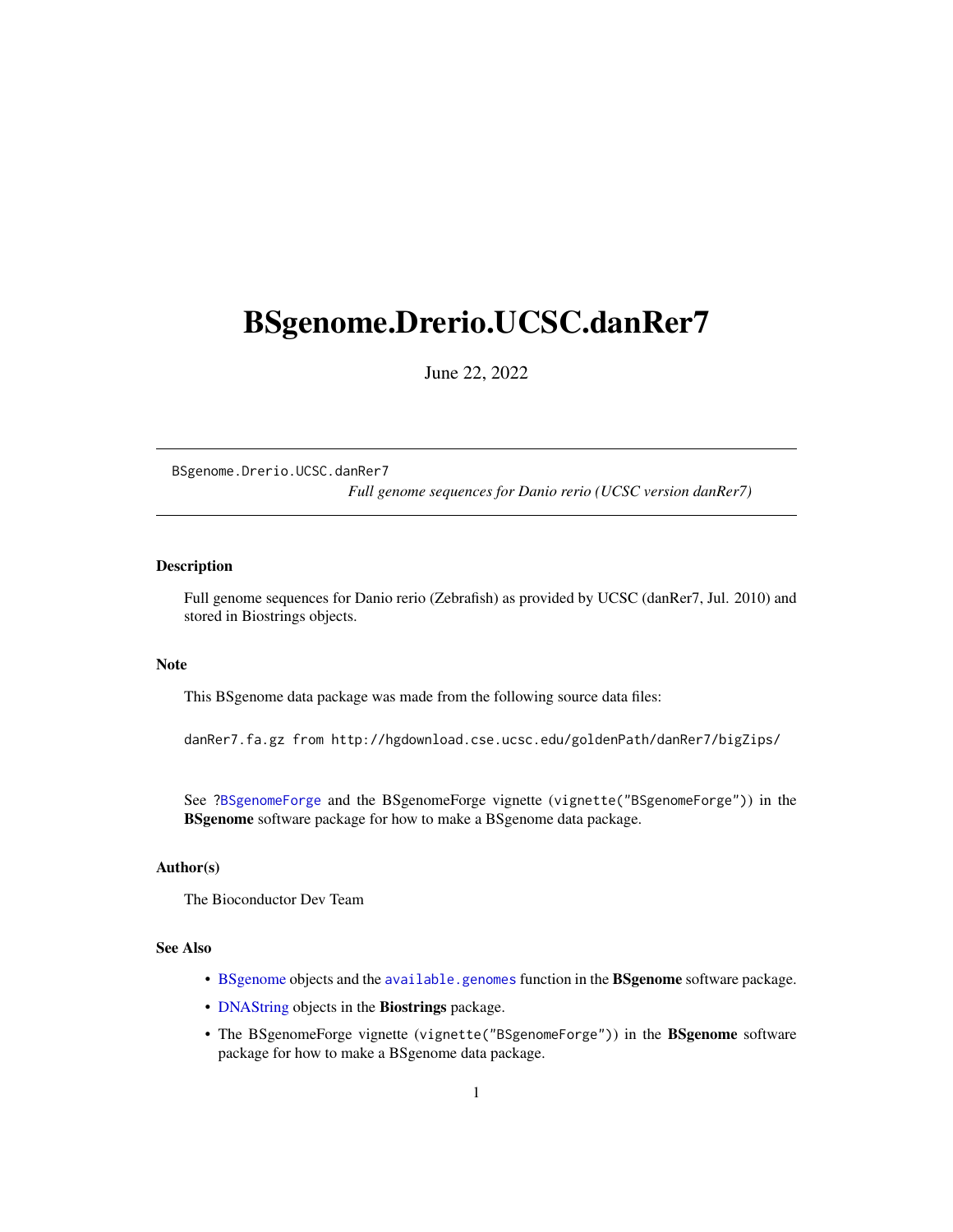# <span id="page-0-0"></span>BSgenome.Drerio.UCSC.danRer7

June 22, 2022

BSgenome.Drerio.UCSC.danRer7 *Full genome sequences for Danio rerio (UCSC version danRer7)*

# Description

Full genome sequences for Danio rerio (Zebrafish) as provided by UCSC (danRer7, Jul. 2010) and stored in Biostrings objects.

#### Note

This BSgenome data package was made from the following source data files:

danRer7.fa.gz from http://hgdownload.cse.ucsc.edu/goldenPath/danRer7/bigZips/

See ?BSgenomeForge and the BSgenomeForge vignette (vignette("BSgenomeForge")) in the BSgenome software package for how to make a BSgenome data package.

# Author(s)

The Bioconductor Dev Team

# See Also

- BSgenome objects and the available.genomes function in the BSgenome software package.
- DNAString objects in the Biostrings package.
- The BSgenomeForge vignette (vignette("BSgenomeForge")) in the BSgenome software package for how to make a BSgenome data package.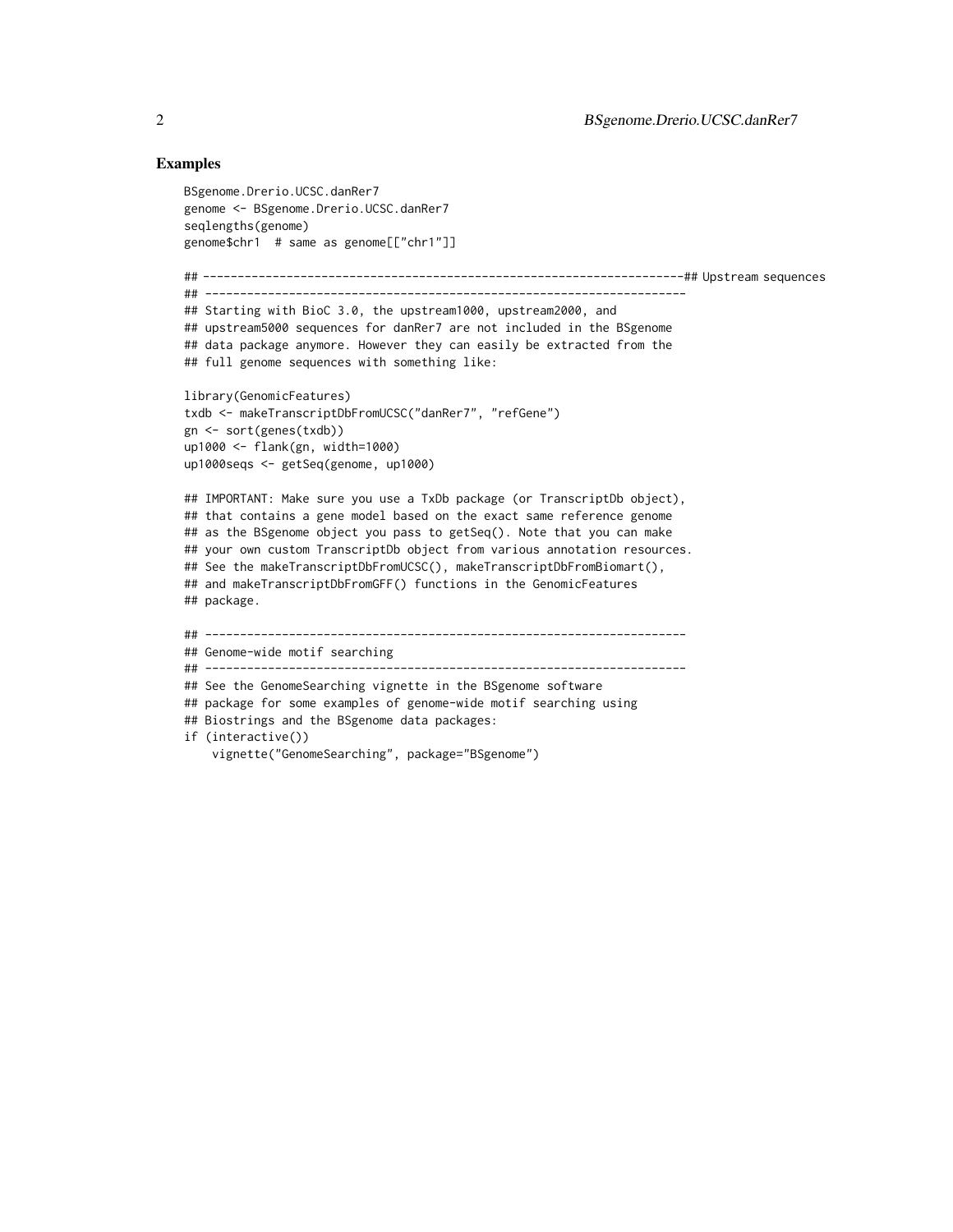### Examples

```
BSgenome.Drerio.UCSC.danRer7
genome <- BSgenome.Drerio.UCSC.danRer7
seqlengths(genome)
genome$chr1 # same as genome[["chr1"]]
## ---------------------------------------------------------------------## Upstream sequences
## ---------------------------------------------------------------------
## Starting with BioC 3.0, the upstream1000, upstream2000, and
## upstream5000 sequences for danRer7 are not included in the BSgenome
## data package anymore. However they can easily be extracted from the
## full genome sequences with something like:
library(GenomicFeatures)
txdb <- makeTranscriptDbFromUCSC("danRer7", "refGene")
gn <- sort(genes(txdb))
up1000 <- flank(gn, width=1000)
up1000seqs <- getSeq(genome, up1000)
## IMPORTANT: Make sure you use a TxDb package (or TranscriptDb object),
## that contains a gene model based on the exact same reference genome
## as the BSgenome object you pass to getSeq(). Note that you can make
## your own custom TranscriptDb object from various annotation resources.
## See the makeTranscriptDbFromUCSC(), makeTranscriptDbFromBiomart(),
## and makeTranscriptDbFromGFF() functions in the GenomicFeatures
## package.
## ---------------------------------------------------------------------
## Genome-wide motif searching
## ---------------------------------------------------------------------
## See the GenomeSearching vignette in the BSgenome software
## package for some examples of genome-wide motif searching using
## Biostrings and the BSgenome data packages:
if (interactive())
    vignette("GenomeSearching", package="BSgenome")
```